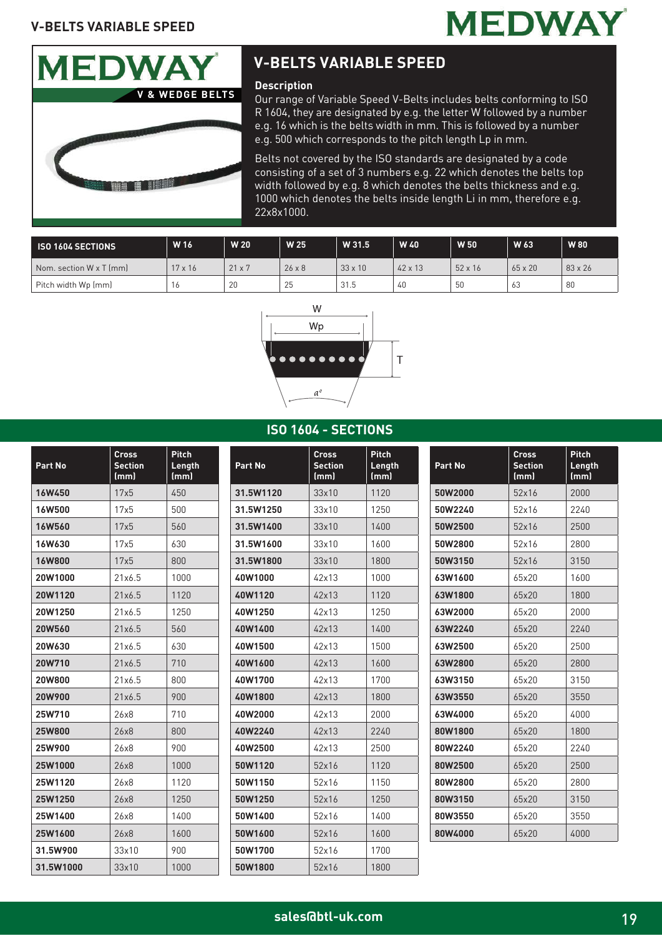



# **V-BELTS VARIABLE SPEED**

### **Description**

Our range of Variable Speed V-Belts includes belts conforming to ISO R 1604, they are designated by e.g. the letter W followed by a number e.g. 16 which is the belts width in mm. This is followed by a number e.g. 500 which corresponds to the pitch length Lp in mm.

Belts not covered by the ISO standards are designated by a code consisting of a set of 3 numbers e.g. 22 which denotes the belts top width followed by e.g. 8 which denotes the belts thickness and e.g. 1000 which denotes the belts inside length Li in mm, therefore e.g. 22x8x1000.

| <b>ISO 1604 SECTIONS</b>            | W 16           | <b>W20</b>    | W 25          | W 31.5         | W 40           | W 50           | W 63           | <b>W</b> 80    |
|-------------------------------------|----------------|---------------|---------------|----------------|----------------|----------------|----------------|----------------|
| $\mathsf I$ Nom. section W x T (mm) | $17 \times 16$ | $21 \times 7$ | $26 \times 8$ | $33 \times 10$ | $42 \times 13$ | $52 \times 16$ | $65 \times 20$ | $83 \times 26$ |
| Pitch width Wp (mm)                 | 16             | 20            | 25            | 31.5           | 40             | 50             | 63             | 80             |



#### **ISO 1604 - SECTIONS**

| Part No       | <b>Cross</b><br><b>Section</b><br>(mm) | <b>Pitch</b><br>Length<br>(mm) | Part No   | <b>Cross</b><br><b>Section</b><br>(mm) | <b>Pitch</b><br>Length<br>(mm) | Part No | <b>Cross</b><br><b>Section</b><br>(mm) | <b>Pitch</b><br>Length<br>(mm) |
|---------------|----------------------------------------|--------------------------------|-----------|----------------------------------------|--------------------------------|---------|----------------------------------------|--------------------------------|
| <b>16W450</b> | 17x5                                   | 450                            | 31.5W1120 | 33x10                                  | 1120                           | 50W2000 | 52x16                                  | 2000                           |
| <b>16W500</b> | 17x5                                   | 500                            | 31.5W1250 | 33x10                                  | 1250                           | 50W2240 | 52x16                                  | 2240                           |
| <b>16W560</b> | 17x5                                   | 560                            | 31.5W1400 | 33x10                                  | 1400                           | 50W2500 | 52x16                                  | 2500                           |
| <b>16W630</b> | 17x5                                   | 630                            | 31.5W1600 | 33x10                                  | 1600                           | 50W2800 | 52x16                                  | 2800                           |
| <b>16W800</b> | 17x5                                   | 800                            | 31.5W1800 | 33x10                                  | 1800                           | 50W3150 | 52x16                                  | 3150                           |
| 20W1000       | 21x6.5                                 | 1000                           | 40W1000   | 42x13                                  | 1000                           | 63W1600 | 65x20                                  | 1600                           |
| 20W1120       | 21x6.5                                 | 1120                           | 40W1120   | 42x13                                  | 1120                           | 63W1800 | 65x20                                  | 1800                           |
| 20W1250       | 21x6.5                                 | 1250                           | 40W1250   | 42x13                                  | 1250                           | 63W2000 | 65x20                                  | 2000                           |
| 20W560        | 21x6.5                                 | 560                            | 40W1400   | 42x13                                  | 1400                           | 63W2240 | 65x20                                  | 2240                           |
| 20W630        | 21x6.5                                 | 630                            | 40W1500   | 42x13                                  | 1500                           | 63W2500 | 65x20                                  | 2500                           |
| 20W710        | 21x6.5                                 | 710                            | 40W1600   | 42x13                                  | 1600                           | 63W2800 | 65x20                                  | 2800                           |
| 20W800        | 21x6.5                                 | 800                            | 40W1700   | 42x13                                  | 1700                           | 63W3150 | 65x20                                  | 3150                           |
| 20W900        | 21x6.5                                 | 900                            | 40W1800   | 42x13                                  | 1800                           | 63W3550 | 65x20                                  | 3550                           |
| 25W710        | 26x8                                   | 710                            | 40W2000   | 42x13                                  | 2000                           | 63W4000 | 65x20                                  | 4000                           |
| <b>25W800</b> | 26x8                                   | 800                            | 40W2240   | 42x13                                  | 2240                           | 80W1800 | 65x20                                  | 1800                           |
| 25W900        | 26x8                                   | 900                            | 40W2500   | 42x13                                  | 2500                           | 80W2240 | 65x20                                  | 2240                           |
| 25W1000       | 26x8                                   | 1000                           | 50W1120   | 52x16                                  | 1120                           | 80W2500 | 65x20                                  | 2500                           |
| 25W1120       | 26x8                                   | 1120                           | 50W1150   | 52x16                                  | 1150                           | 80W2800 | 65x20                                  | 2800                           |
| 25W1250       | 26x8                                   | 1250                           | 50W1250   | 52x16                                  | 1250                           | 80W3150 | 65x20                                  | 3150                           |
| 25W1400       | 26x8                                   | 1400                           | 50W1400   | 52x16                                  | 1400                           | 80W3550 | 65x20                                  | 3550                           |
| 25W1600       | 26x8                                   | 1600                           | 50W1600   | 52x16                                  | 1600                           | 80W4000 | 65x20                                  | 4000                           |
| 31.5W900      | 33x10                                  | 900                            | 50W1700   | 52x16                                  | 1700                           |         |                                        |                                |
| 31.5W1000     | 33x10                                  | 1000                           | 50W1800   | 52x16                                  | 1800                           |         |                                        |                                |